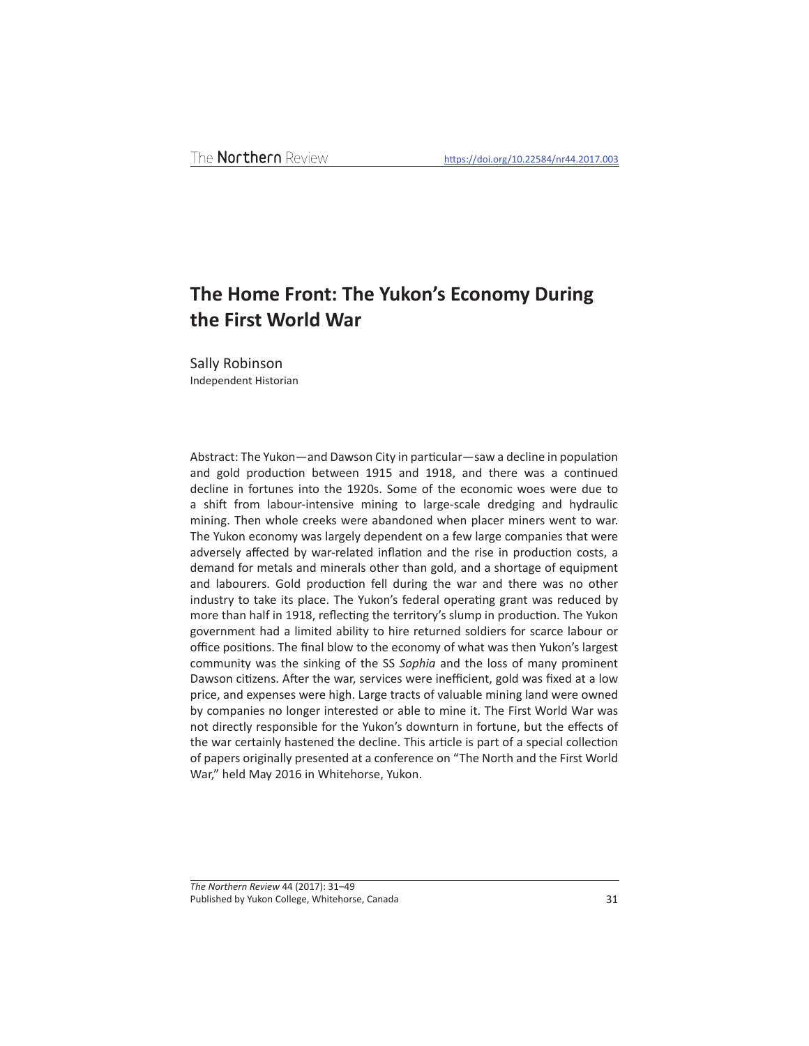## **The Home Front: The Yukon's Economy During the First World War**

Sally Robinson Independent Historian

Abstract: The Yukon—and Dawson City in particular—saw a decline in population and gold production between 1915 and 1918, and there was a continued decline in fortunes into the 1920s. Some of the economic woes were due to a shift from labour-intensive mining to large-scale dredging and hydraulic mining. Then whole creeks were abandoned when placer miners went to war. The Yukon economy was largely dependent on a few large companies that were adversely affected by war-related inflation and the rise in production costs, a demand for metals and minerals other than gold, and a shortage of equipment and labourers. Gold production fell during the war and there was no other industry to take its place. The Yukon's federal operating grant was reduced by more than half in 1918, reflecting the territory's slump in production. The Yukon government had a limited ability to hire returned soldiers for scarce labour or office positions. The final blow to the economy of what was then Yukon's largest community was the sinking of the SS *Sophia* and the loss of many prominent Dawson citizens. After the war, services were inefficient, gold was fixed at a low price, and expenses were high. Large tracts of valuable mining land were owned by companies no longer interested or able to mine it. The First World War was not directly responsible for the Yukon's downturn in fortune, but the effects of the war certainly hastened the decline. This article is part of a special collection of papers originally presented at a conference on "The North and the First World War," held May 2016 in Whitehorse, Yukon.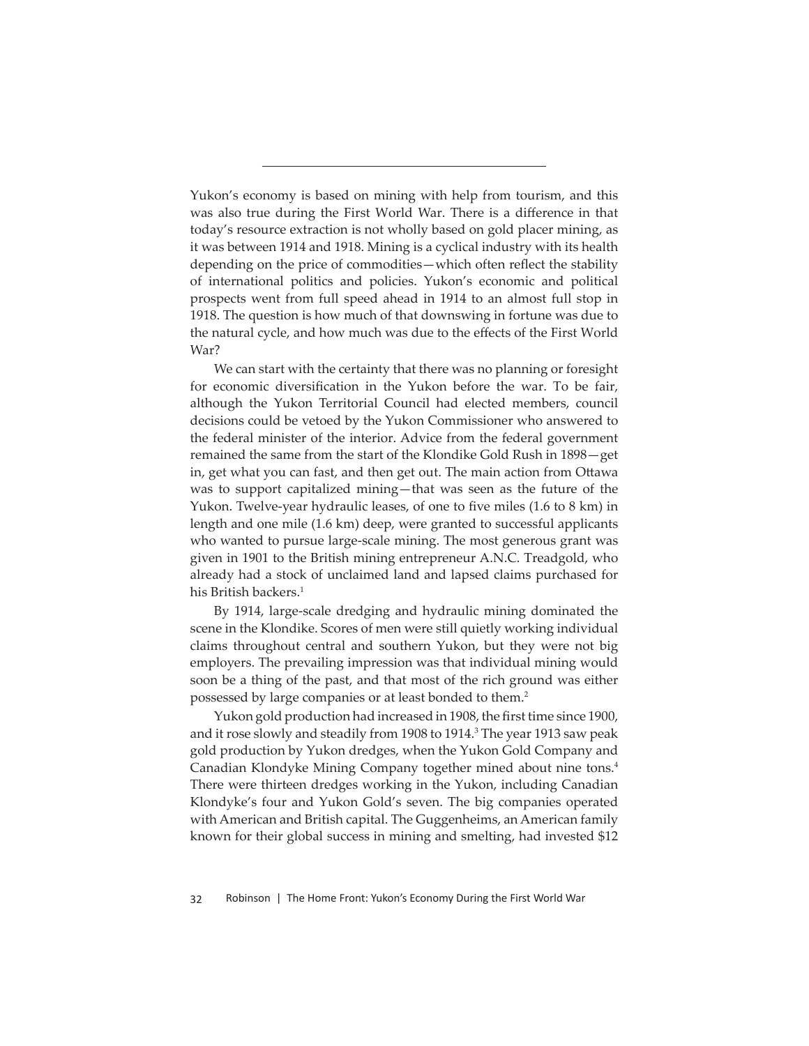Yukon's economy is based on mining with help from tourism, and this was also true during the First World War. There is a difference in that today's resource extraction is not wholly based on gold placer mining, as it was between 1914 and 1918. Mining is a cyclical industry with its health depending on the price of commodities—which often reflect the stability of international politics and policies. Yukon's economic and political prospects went from full speed ahead in 1914 to an almost full stop in 1918. The question is how much of that downswing in fortune was due to the natural cycle, and how much was due to the effects of the First World War?

We can start with the certainty that there was no planning or foresight for economic diversification in the Yukon before the war. To be fair, although the Yukon Territorial Council had elected members, council decisions could be vetoed by the Yukon Commissioner who answered to the federal minister of the interior. Advice from the federal government remained the same from the start of the Klondike Gold Rush in 1898—get in, get what you can fast, and then get out. The main action from Ottawa was to support capitalized mining—that was seen as the future of the Yukon. Twelve-year hydraulic leases, of one to five miles (1.6 to 8 km) in length and one mile (1.6 km) deep, were granted to successful applicants who wanted to pursue large-scale mining. The most generous grant was given in 1901 to the British mining entrepreneur A.N.C. Treadgold, who already had a stock of unclaimed land and lapsed claims purchased for his British backers.<sup>1</sup>

By 1914, large-scale dredging and hydraulic mining dominated the scene in the Klondike. Scores of men were still quietly working individual claims throughout central and southern Yukon, but they were not big employers. The prevailing impression was that individual mining would soon be a thing of the past, and that most of the rich ground was either possessed by large companies or at least bonded to them.<sup>2</sup>

Yukon gold production had increased in 1908, the first time since 1900, and it rose slowly and steadily from 1908 to 1914.<sup>3</sup> The year 1913 saw peak gold production by Yukon dredges, when the Yukon Gold Company and Canadian Klondyke Mining Company together mined about nine tons.4 There were thirteen dredges working in the Yukon, including Canadian Klondyke's four and Yukon Gold's seven. The big companies operated with American and British capital. The Guggenheims, an American family known for their global success in mining and smelting, had invested \$12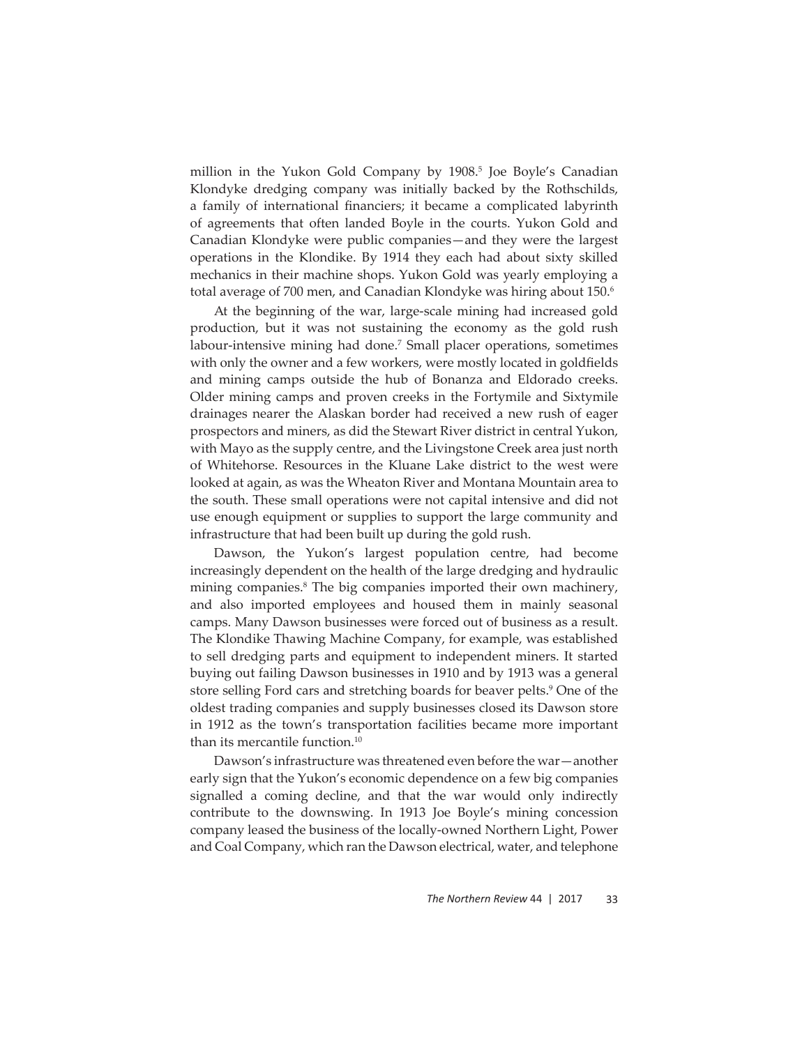million in the Yukon Gold Company by 1908.<sup>5</sup> Joe Boyle's Canadian Klondyke dredging company was initially backed by the Rothschilds, a family of international financiers; it became a complicated labyrinth of agreements that often landed Boyle in the courts. Yukon Gold and Canadian Klondyke were public companies—and they were the largest operations in the Klondike. By 1914 they each had about sixty skilled mechanics in their machine shops. Yukon Gold was yearly employing a total average of 700 men, and Canadian Klondyke was hiring about 150.<sup>6</sup>

At the beginning of the war, large-scale mining had increased gold production, but it was not sustaining the economy as the gold rush labour-intensive mining had done.<sup>7</sup> Small placer operations, sometimes with only the owner and a few workers, were mostly located in goldfields and mining camps outside the hub of Bonanza and Eldorado creeks. Older mining camps and proven creeks in the Fortymile and Sixtymile drainages nearer the Alaskan border had received a new rush of eager prospectors and miners, as did the Stewart River district in central Yukon, with Mayo as the supply centre, and the Livingstone Creek area just north of Whitehorse. Resources in the Kluane Lake district to the west were looked at again, as was the Wheaton River and Montana Mountain area to the south. These small operations were not capital intensive and did not use enough equipment or supplies to support the large community and infrastructure that had been built up during the gold rush.

Dawson, the Yukon's largest population centre, had become increasingly dependent on the health of the large dredging and hydraulic mining companies.8 The big companies imported their own machinery, and also imported employees and housed them in mainly seasonal camps. Many Dawson businesses were forced out of business as a result. The Klondike Thawing Machine Company, for example, was established to sell dredging parts and equipment to independent miners. It started buying out failing Dawson businesses in 1910 and by 1913 was a general store selling Ford cars and stretching boards for beaver pelts.<sup>9</sup> One of the oldest trading companies and supply businesses closed its Dawson store in 1912 as the town's transportation facilities became more important than its mercantile function.10

Dawson's infrastructure was threatened even before the war—another early sign that the Yukon's economic dependence on a few big companies signalled a coming decline, and that the war would only indirectly contribute to the downswing. In 1913 Joe Boyle's mining concession company leased the business of the locally-owned Northern Light, Power and Coal Company, which ran the Dawson electrical, water, and telephone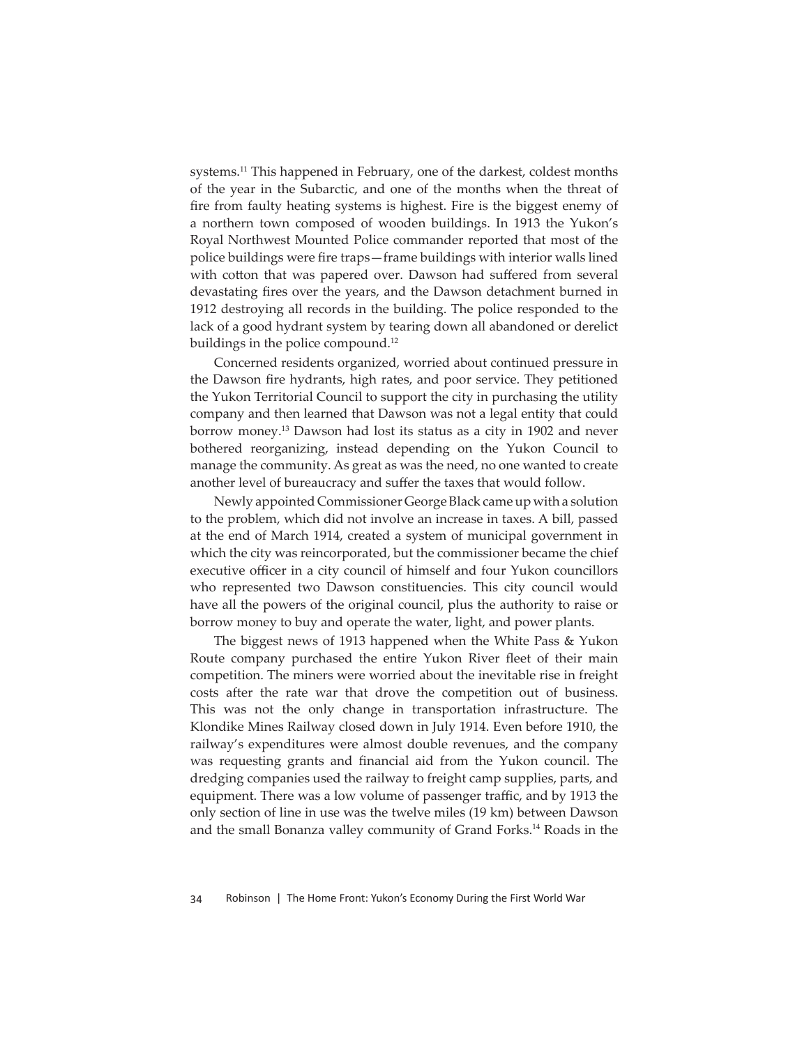systems.<sup>11</sup> This happened in February, one of the darkest, coldest months of the year in the Subarctic, and one of the months when the threat of fire from faulty heating systems is highest. Fire is the biggest enemy of a northern town composed of wooden buildings. In 1913 the Yukon's Royal Northwest Mounted Police commander reported that most of the police buildings were fire traps—frame buildings with interior walls lined with cotton that was papered over. Dawson had suffered from several devastating fires over the years, and the Dawson detachment burned in 1912 destroying all records in the building. The police responded to the lack of a good hydrant system by tearing down all abandoned or derelict buildings in the police compound.<sup>12</sup>

Concerned residents organized, worried about continued pressure in the Dawson fire hydrants, high rates, and poor service. They petitioned the Yukon Territorial Council to support the city in purchasing the utility company and then learned that Dawson was not a legal entity that could borrow money.13 Dawson had lost its status as a city in 1902 and never bothered reorganizing, instead depending on the Yukon Council to manage the community. As great as was the need, no one wanted to create another level of bureaucracy and suffer the taxes that would follow.

Newly appointed Commissioner George Black came up with a solution to the problem, which did not involve an increase in taxes. A bill, passed at the end of March 1914, created a system of municipal government in which the city was reincorporated, but the commissioner became the chief executive officer in a city council of himself and four Yukon councillors who represented two Dawson constituencies. This city council would have all the powers of the original council, plus the authority to raise or borrow money to buy and operate the water, light, and power plants.

The biggest news of 1913 happened when the White Pass & Yukon Route company purchased the entire Yukon River fleet of their main competition. The miners were worried about the inevitable rise in freight costs after the rate war that drove the competition out of business. This was not the only change in transportation infrastructure. The Klondike Mines Railway closed down in July 1914. Even before 1910, the railway's expenditures were almost double revenues, and the company was requesting grants and financial aid from the Yukon council. The dredging companies used the railway to freight camp supplies, parts, and equipment. There was a low volume of passenger traffic, and by 1913 the only section of line in use was the twelve miles (19 km) between Dawson and the small Bonanza valley community of Grand Forks.14 Roads in the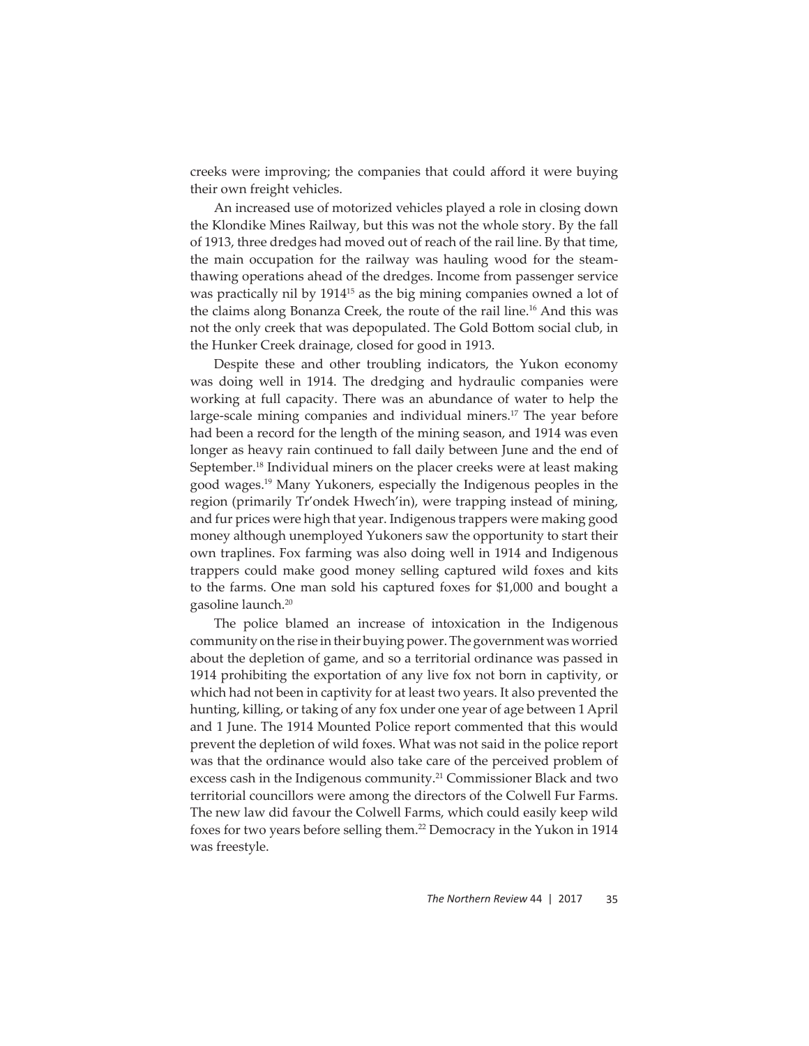creeks were improving; the companies that could afford it were buying their own freight vehicles.

An increased use of motorized vehicles played a role in closing down the Klondike Mines Railway, but this was not the whole story. By the fall of 1913, three dredges had moved out of reach of the rail line. By that time, the main occupation for the railway was hauling wood for the steamthawing operations ahead of the dredges. Income from passenger service was practically nil by 191415 as the big mining companies owned a lot of the claims along Bonanza Creek, the route of the rail line.<sup>16</sup> And this was not the only creek that was depopulated. The Gold Bottom social club, in the Hunker Creek drainage, closed for good in 1913.

Despite these and other troubling indicators, the Yukon economy was doing well in 1914. The dredging and hydraulic companies were working at full capacity. There was an abundance of water to help the large-scale mining companies and individual miners.<sup>17</sup> The year before had been a record for the length of the mining season, and 1914 was even longer as heavy rain continued to fall daily between June and the end of September.<sup>18</sup> Individual miners on the placer creeks were at least making good wages.19 Many Yukoners, especially the Indigenous peoples in the region (primarily Tr'ondek Hwech'in), were trapping instead of mining, and fur prices were high that year. Indigenous trappers were making good money although unemployed Yukoners saw the opportunity to start their own traplines. Fox farming was also doing well in 1914 and Indigenous trappers could make good money selling captured wild foxes and kits to the farms. One man sold his captured foxes for \$1,000 and bought a gasoline launch.20

The police blamed an increase of intoxication in the Indigenous community on the rise in their buying power. The government was worried about the depletion of game, and so a territorial ordinance was passed in 1914 prohibiting the exportation of any live fox not born in captivity, or which had not been in captivity for at least two years. It also prevented the hunting, killing, or taking of any fox under one year of age between 1 April and 1 June. The 1914 Mounted Police report commented that this would prevent the depletion of wild foxes. What was not said in the police report was that the ordinance would also take care of the perceived problem of excess cash in the Indigenous community.<sup>21</sup> Commissioner Black and two territorial councillors were among the directors of the Colwell Fur Farms. The new law did favour the Colwell Farms, which could easily keep wild foxes for two years before selling them.<sup>22</sup> Democracy in the Yukon in 1914 was freestyle.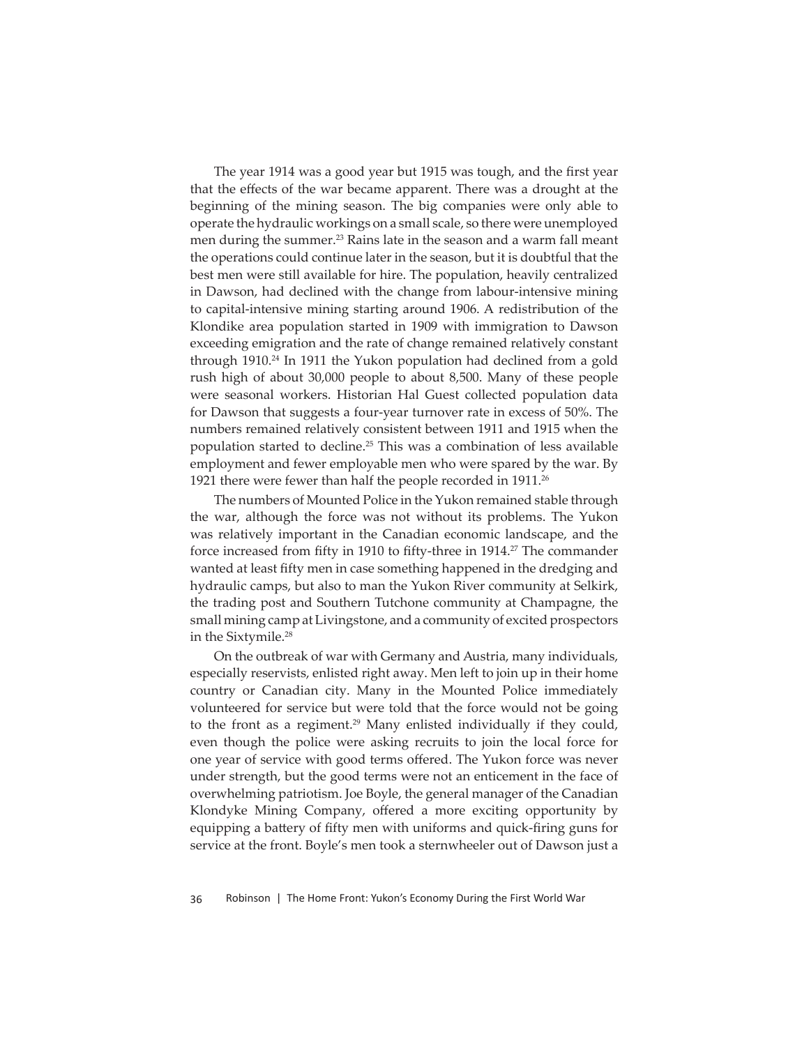The year 1914 was a good year but 1915 was tough, and the first year that the effects of the war became apparent. There was a drought at the beginning of the mining season. The big companies were only able to operate the hydraulic workings on a small scale, so there were unemployed men during the summer.<sup>23</sup> Rains late in the season and a warm fall meant the operations could continue later in the season, but it is doubtful that the best men were still available for hire. The population, heavily centralized in Dawson, had declined with the change from labour-intensive mining to capital-intensive mining starting around 1906. A redistribution of the Klondike area population started in 1909 with immigration to Dawson exceeding emigration and the rate of change remained relatively constant through 1910.<sup>24</sup> In 1911 the Yukon population had declined from a gold rush high of about 30,000 people to about 8,500. Many of these people were seasonal workers. Historian Hal Guest collected population data for Dawson that suggests a four-year turnover rate in excess of 50%. The numbers remained relatively consistent between 1911 and 1915 when the population started to decline.25 This was a combination of less available employment and fewer employable men who were spared by the war. By 1921 there were fewer than half the people recorded in 1911.<sup>26</sup>

The numbers of Mounted Police in the Yukon remained stable through the war, although the force was not without its problems. The Yukon was relatively important in the Canadian economic landscape, and the force increased from fifty in 1910 to fifty-three in 1914.<sup>27</sup> The commander wanted at least fifty men in case something happened in the dredging and hydraulic camps, but also to man the Yukon River community at Selkirk, the trading post and Southern Tutchone community at Champagne, the small mining camp at Livingstone, and a community of excited prospectors in the Sixtymile.<sup>28</sup>

On the outbreak of war with Germany and Austria, many individuals, especially reservists, enlisted right away. Men left to join up in their home country or Canadian city. Many in the Mounted Police immediately volunteered for service but were told that the force would not be going to the front as a regiment.<sup>29</sup> Many enlisted individually if they could, even though the police were asking recruits to join the local force for one year of service with good terms offered. The Yukon force was never under strength, but the good terms were not an enticement in the face of overwhelming patriotism. Joe Boyle, the general manager of the Canadian Klondyke Mining Company, offered a more exciting opportunity by equipping a battery of fifty men with uniforms and quick-firing guns for service at the front. Boyle's men took a sternwheeler out of Dawson just a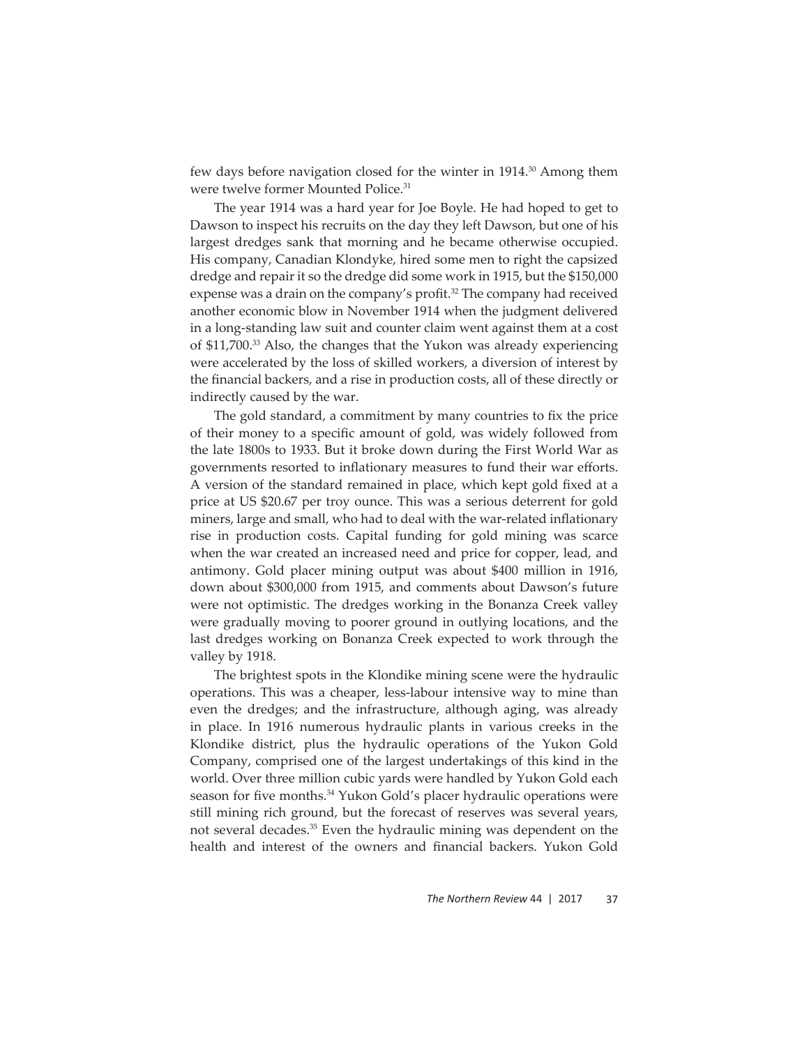few days before navigation closed for the winter in 1914.<sup>30</sup> Among them were twelve former Mounted Police.31

The year 1914 was a hard year for Joe Boyle. He had hoped to get to Dawson to inspect his recruits on the day they left Dawson, but one of his largest dredges sank that morning and he became otherwise occupied. His company, Canadian Klondyke, hired some men to right the capsized dredge and repair it so the dredge did some work in 1915, but the \$150,000 expense was a drain on the company's profit.<sup>32</sup> The company had received another economic blow in November 1914 when the judgment delivered in a long-standing law suit and counter claim went against them at a cost of \$11,700.33 Also, the changes that the Yukon was already experiencing were accelerated by the loss of skilled workers, a diversion of interest by the financial backers, and a rise in production costs, all of these directly or indirectly caused by the war.

The gold standard, a commitment by many countries to fix the price of their money to a specific amount of gold, was widely followed from the late 1800s to 1933. But it broke down during the First World War as governments resorted to inflationary measures to fund their war efforts. A version of the standard remained in place, which kept gold fixed at a price at US \$20.67 per troy ounce. This was a serious deterrent for gold miners, large and small, who had to deal with the war-related inflationary rise in production costs. Capital funding for gold mining was scarce when the war created an increased need and price for copper, lead, and antimony. Gold placer mining output was about \$400 million in 1916, down about \$300,000 from 1915, and comments about Dawson's future were not optimistic. The dredges working in the Bonanza Creek valley were gradually moving to poorer ground in outlying locations, and the last dredges working on Bonanza Creek expected to work through the valley by 1918.

The brightest spots in the Klondike mining scene were the hydraulic operations. This was a cheaper, less-labour intensive way to mine than even the dredges; and the infrastructure, although aging, was already in place. In 1916 numerous hydraulic plants in various creeks in the Klondike district, plus the hydraulic operations of the Yukon Gold Company, comprised one of the largest undertakings of this kind in the world. Over three million cubic yards were handled by Yukon Gold each season for five months.<sup>34</sup> Yukon Gold's placer hydraulic operations were still mining rich ground, but the forecast of reserves was several years, not several decades.35 Even the hydraulic mining was dependent on the health and interest of the owners and financial backers. Yukon Gold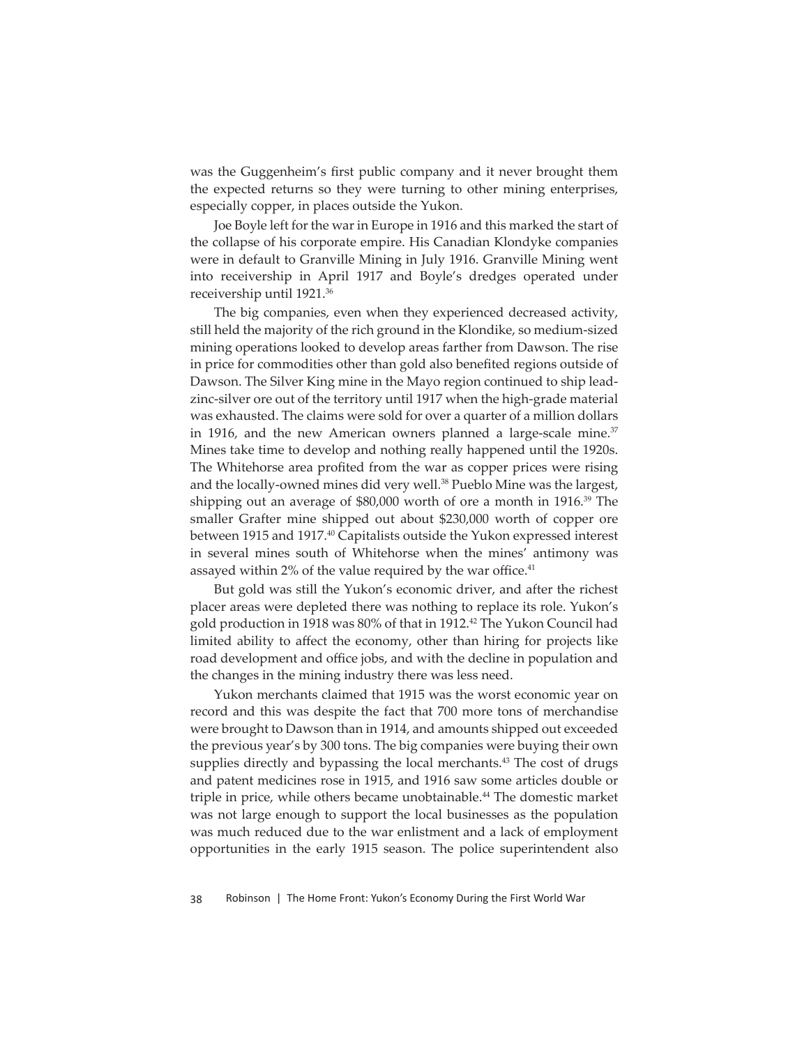was the Guggenheim's first public company and it never brought them the expected returns so they were turning to other mining enterprises, especially copper, in places outside the Yukon.

Joe Boyle left for the war in Europe in 1916 and this marked the start of the collapse of his corporate empire. His Canadian Klondyke companies were in default to Granville Mining in July 1916. Granville Mining went into receivership in April 1917 and Boyle's dredges operated under receivership until 1921.36

The big companies, even when they experienced decreased activity, still held the majority of the rich ground in the Klondike, so medium-sized mining operations looked to develop areas farther from Dawson. The rise in price for commodities other than gold also benefited regions outside of Dawson. The Silver King mine in the Mayo region continued to ship leadzinc-silver ore out of the territory until 1917 when the high-grade material was exhausted. The claims were sold for over a quarter of a million dollars in 1916, and the new American owners planned a large-scale mine. $37$ Mines take time to develop and nothing really happened until the 1920s. The Whitehorse area profited from the war as copper prices were rising and the locally-owned mines did very well.<sup>38</sup> Pueblo Mine was the largest, shipping out an average of \$80,000 worth of ore a month in 1916.<sup>39</sup> The smaller Grafter mine shipped out about \$230,000 worth of copper ore between 1915 and 1917.<sup>40</sup> Capitalists outside the Yukon expressed interest in several mines south of Whitehorse when the mines' antimony was assayed within 2% of the value required by the war office.<sup>41</sup>

But gold was still the Yukon's economic driver, and after the richest placer areas were depleted there was nothing to replace its role. Yukon's gold production in 1918 was 80% of that in 1912.<sup>42</sup> The Yukon Council had limited ability to affect the economy, other than hiring for projects like road development and office jobs, and with the decline in population and the changes in the mining industry there was less need.

Yukon merchants claimed that 1915 was the worst economic year on record and this was despite the fact that 700 more tons of merchandise were brought to Dawson than in 1914, and amounts shipped out exceeded the previous year's by 300 tons. The big companies were buying their own supplies directly and bypassing the local merchants.<sup>43</sup> The cost of drugs and patent medicines rose in 1915, and 1916 saw some articles double or triple in price, while others became unobtainable.<sup>44</sup> The domestic market was not large enough to support the local businesses as the population was much reduced due to the war enlistment and a lack of employment opportunities in the early 1915 season. The police superintendent also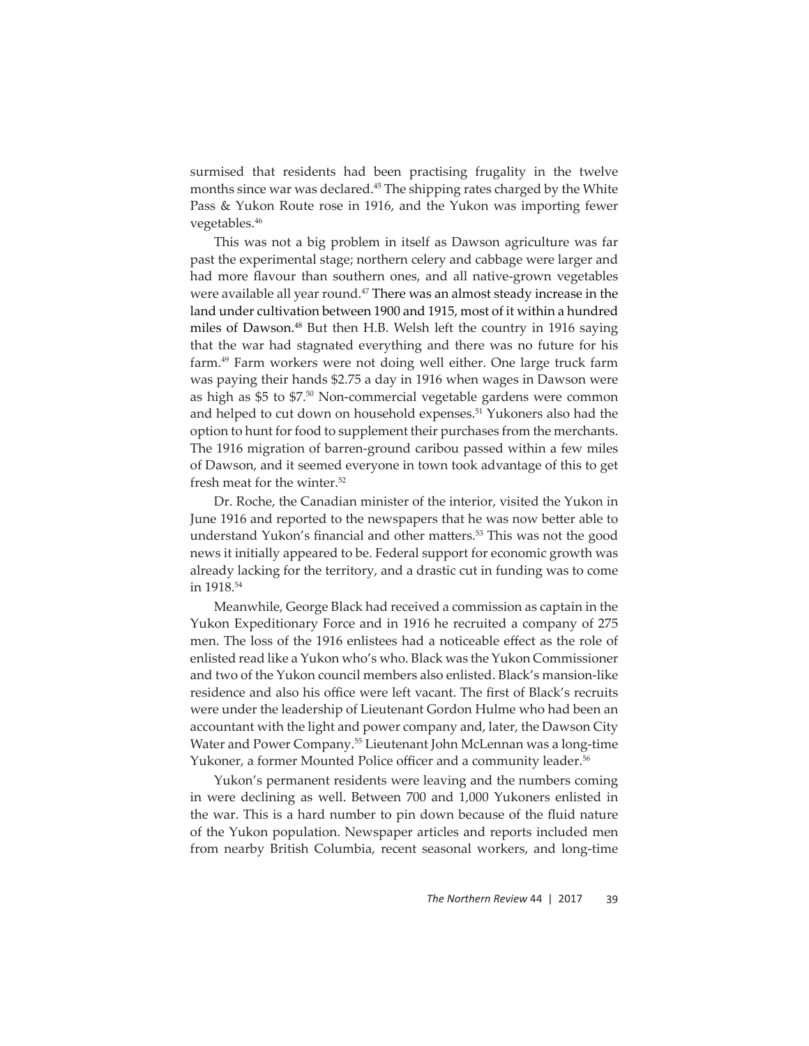surmised that residents had been practising frugality in the twelve months since war was declared.45 The shipping rates charged by the White Pass & Yukon Route rose in 1916, and the Yukon was importing fewer vegetables.46

This was not a big problem in itself as Dawson agriculture was far past the experimental stage; northern celery and cabbage were larger and had more flavour than southern ones, and all native-grown vegetables were available all year round.<sup>47</sup> There was an almost steady increase in the land under cultivation between 1900 and 1915, most of it within a hundred miles of Dawson.<sup>48</sup> But then H.B. Welsh left the country in 1916 saying that the war had stagnated everything and there was no future for his farm.49 Farm workers were not doing well either. One large truck farm was paying their hands \$2.75 a day in 1916 when wages in Dawson were as high as \$5 to \$7.50 Non-commercial vegetable gardens were common and helped to cut down on household expenses.<sup>51</sup> Yukoners also had the option to hunt for food to supplement their purchases from the merchants. The 1916 migration of barren-ground caribou passed within a few miles of Dawson, and it seemed everyone in town took advantage of this to get fresh meat for the winter.<sup>52</sup>

Dr. Roche, the Canadian minister of the interior, visited the Yukon in June 1916 and reported to the newspapers that he was now better able to understand Yukon's financial and other matters.<sup>53</sup> This was not the good news it initially appeared to be. Federal support for economic growth was already lacking for the territory, and a drastic cut in funding was to come in 1918.54

Meanwhile, George Black had received a commission as captain in the Yukon Expeditionary Force and in 1916 he recruited a company of 275 men. The loss of the 1916 enlistees had a noticeable effect as the role of enlisted read like a Yukon who's who. Black was the Yukon Commissioner and two of the Yukon council members also enlisted. Black's mansion-like residence and also his office were left vacant. The first of Black's recruits were under the leadership of Lieutenant Gordon Hulme who had been an accountant with the light and power company and, later, the Dawson City Water and Power Company.<sup>55</sup> Lieutenant John McLennan was a long-time Yukoner, a former Mounted Police officer and a community leader.<sup>56</sup>

Yukon's permanent residents were leaving and the numbers coming in were declining as well. Between 700 and 1,000 Yukoners enlisted in the war. This is a hard number to pin down because of the fluid nature of the Yukon population. Newspaper articles and reports included men from nearby British Columbia, recent seasonal workers, and long-time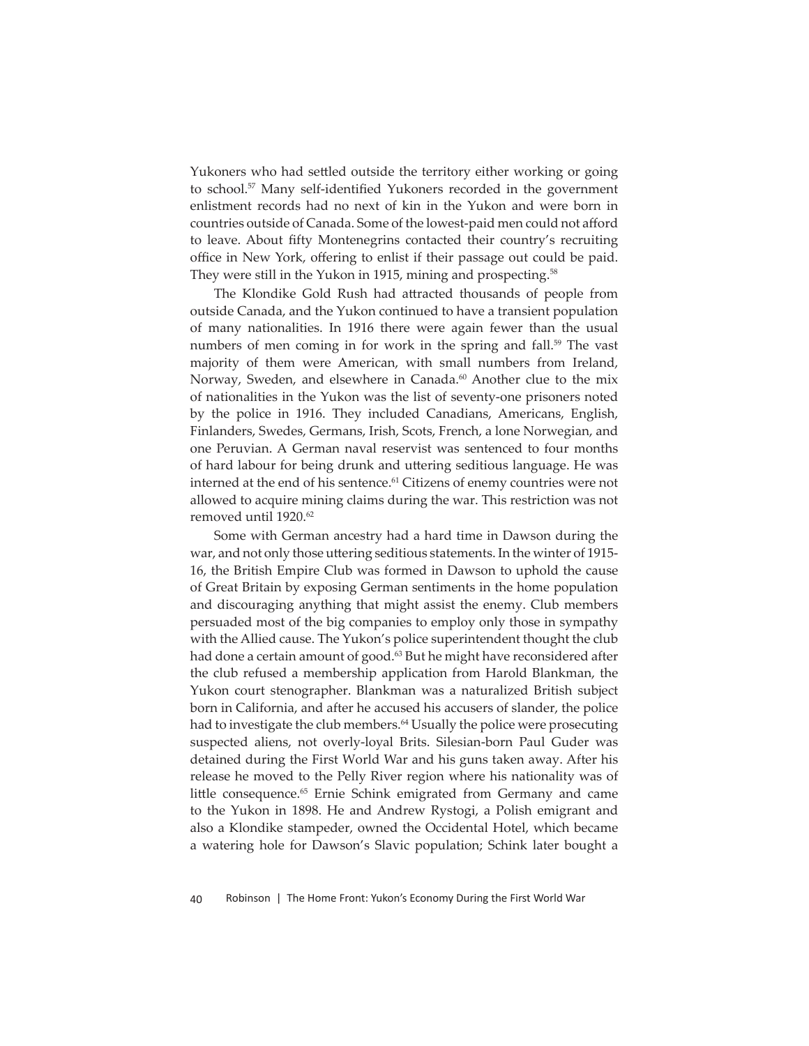Yukoners who had settled outside the territory either working or going to school.<sup>57</sup> Many self-identified Yukoners recorded in the government enlistment records had no next of kin in the Yukon and were born in countries outside of Canada. Some of the lowest-paid men could not afford to leave. About fifty Montenegrins contacted their country's recruiting office in New York, offering to enlist if their passage out could be paid. They were still in the Yukon in 1915, mining and prospecting.<sup>58</sup>

The Klondike Gold Rush had attracted thousands of people from outside Canada, and the Yukon continued to have a transient population of many nationalities. In 1916 there were again fewer than the usual numbers of men coming in for work in the spring and fall.<sup>59</sup> The vast majority of them were American, with small numbers from Ireland, Norway, Sweden, and elsewhere in Canada.<sup>60</sup> Another clue to the mix of nationalities in the Yukon was the list of seventy-one prisoners noted by the police in 1916. They included Canadians, Americans, English, Finlanders, Swedes, Germans, Irish, Scots, French, a lone Norwegian, and one Peruvian. A German naval reservist was sentenced to four months of hard labour for being drunk and uttering seditious language. He was interned at the end of his sentence.<sup>61</sup> Citizens of enemy countries were not allowed to acquire mining claims during the war. This restriction was not removed until 1920.<sup>62</sup>

Some with German ancestry had a hard time in Dawson during the war, and not only those uttering seditious statements. In the winter of 1915-16, the British Empire Club was formed in Dawson to uphold the cause of Great Britain by exposing German sentiments in the home population and discouraging anything that might assist the enemy. Club members persuaded most of the big companies to employ only those in sympathy with the Allied cause. The Yukon's police superintendent thought the club had done a certain amount of good.<sup>63</sup> But he might have reconsidered after the club refused a membership application from Harold Blankman, the Yukon court stenographer. Blankman was a naturalized British subject born in California, and after he accused his accusers of slander, the police had to investigate the club members.<sup>64</sup> Usually the police were prosecuting suspected aliens, not overly-loyal Brits. Silesian-born Paul Guder was detained during the First World War and his guns taken away. After his release he moved to the Pelly River region where his nationality was of little consequence.<sup>65</sup> Ernie Schink emigrated from Germany and came to the Yukon in 1898. He and Andrew Rystogi, a Polish emigrant and also a Klondike stampeder, owned the Occidental Hotel, which became a watering hole for Dawson's Slavic population; Schink later bought a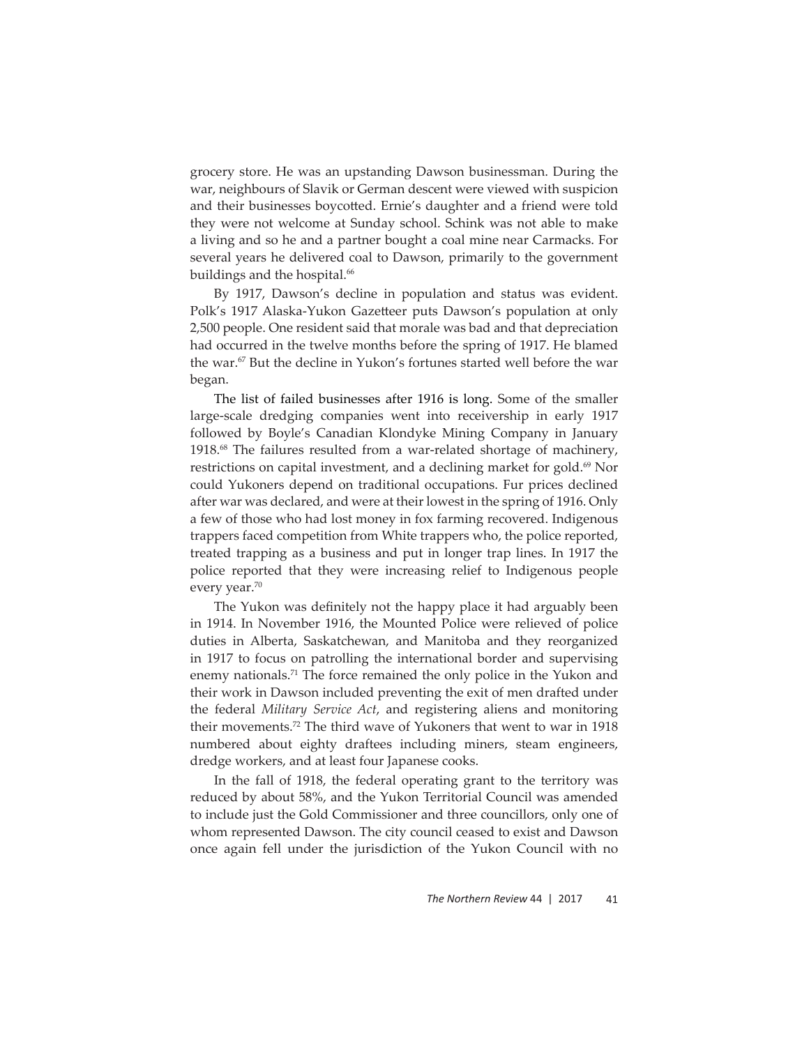grocery store. He was an upstanding Dawson businessman. During the war, neighbours of Slavik or German descent were viewed with suspicion and their businesses boycotted. Ernie's daughter and a friend were told they were not welcome at Sunday school. Schink was not able to make a living and so he and a partner bought a coal mine near Carmacks. For several years he delivered coal to Dawson, primarily to the government buildings and the hospital.<sup>66</sup>

By 1917, Dawson's decline in population and status was evident. Polk's 1917 Alaska-Yukon Gazetteer puts Dawson's population at only 2,500 people. One resident said that morale was bad and that depreciation had occurred in the twelve months before the spring of 1917. He blamed the war.67 But the decline in Yukon's fortunes started well before the war began.

The list of failed businesses after 1916 is long. Some of the smaller large-scale dredging companies went into receivership in early 1917 followed by Boyle's Canadian Klondyke Mining Company in January 1918.68 The failures resulted from a war-related shortage of machinery, restrictions on capital investment, and a declining market for gold.<sup>69</sup> Nor could Yukoners depend on traditional occupations. Fur prices declined after war was declared, and were at their lowest in the spring of 1916. Only a few of those who had lost money in fox farming recovered. Indigenous trappers faced competition from White trappers who, the police reported, treated trapping as a business and put in longer trap lines. In 1917 the police reported that they were increasing relief to Indigenous people every year.<sup>70</sup>

The Yukon was definitely not the happy place it had arguably been in 1914. In November 1916, the Mounted Police were relieved of police duties in Alberta, Saskatchewan, and Manitoba and they reorganized in 1917 to focus on patrolling the international border and supervising enemy nationals.<sup>71</sup> The force remained the only police in the Yukon and their work in Dawson included preventing the exit of men drafted under the federal *Military Service Act*, and registering aliens and monitoring their movements.72 The third wave of Yukoners that went to war in 1918 numbered about eighty draftees including miners, steam engineers, dredge workers, and at least four Japanese cooks.

In the fall of 1918, the federal operating grant to the territory was reduced by about 58%, and the Yukon Territorial Council was amended to include just the Gold Commissioner and three councillors, only one of whom represented Dawson. The city council ceased to exist and Dawson once again fell under the jurisdiction of the Yukon Council with no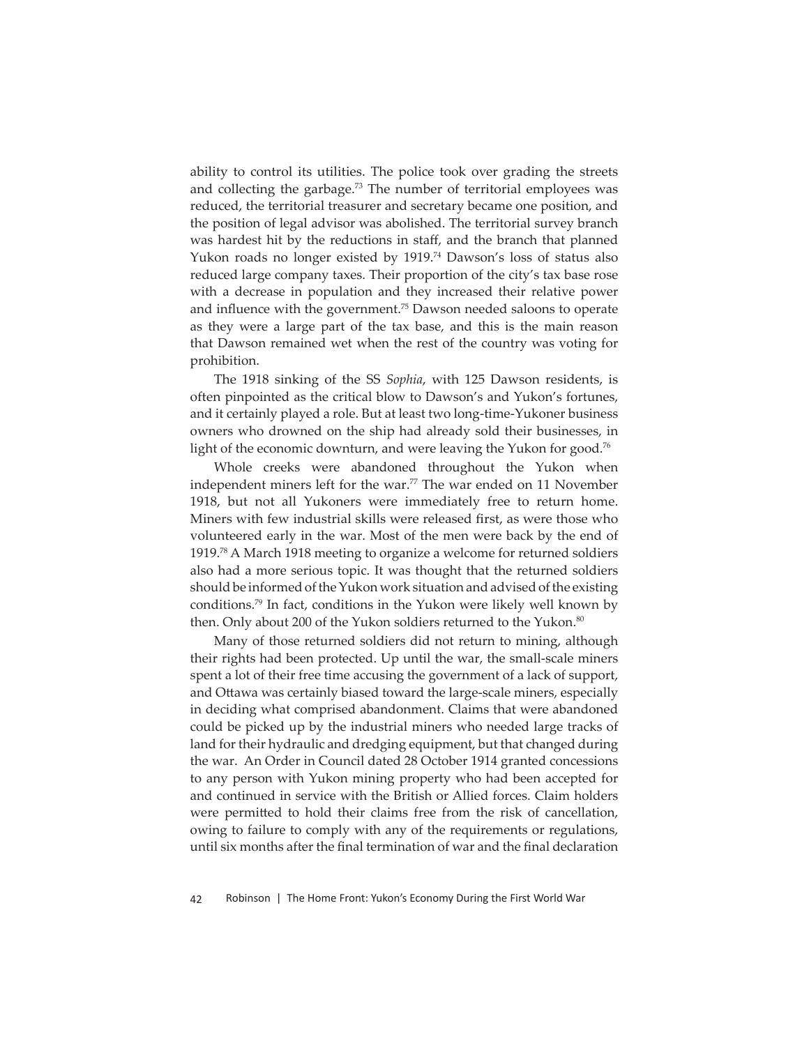ability to control its utilities. The police took over grading the streets and collecting the garbage. $73$  The number of territorial employees was reduced, the territorial treasurer and secretary became one position, and the position of legal advisor was abolished. The territorial survey branch was hardest hit by the reductions in staff, and the branch that planned Yukon roads no longer existed by 1919.74 Dawson's loss of status also reduced large company taxes. Their proportion of the city's tax base rose with a decrease in population and they increased their relative power and influence with the government.<sup>75</sup> Dawson needed saloons to operate as they were a large part of the tax base, and this is the main reason that Dawson remained wet when the rest of the country was voting for prohibition.

The 1918 sinking of the SS *Sophia*, with 125 Dawson residents, is often pinpointed as the critical blow to Dawson's and Yukon's fortunes, and it certainly played a role. But at least two long-time-Yukoner business owners who drowned on the ship had already sold their businesses, in light of the economic downturn, and were leaving the Yukon for good.<sup>76</sup>

Whole creeks were abandoned throughout the Yukon when independent miners left for the war.<sup>77</sup> The war ended on 11 November 1918, but not all Yukoners were immediately free to return home. Miners with few industrial skills were released first, as were those who volunteered early in the war. Most of the men were back by the end of 1919.78 A March 1918 meeting to organize a welcome for returned soldiers also had a more serious topic. It was thought that the returned soldiers should be informed of the Yukon work situation and advised of the existing conditions.79 In fact, conditions in the Yukon were likely well known by then. Only about 200 of the Yukon soldiers returned to the Yukon.<sup>80</sup>

Many of those returned soldiers did not return to mining, although their rights had been protected. Up until the war, the small-scale miners spent a lot of their free time accusing the government of a lack of support, and Ottawa was certainly biased toward the large-scale miners, especially in deciding what comprised abandonment. Claims that were abandoned could be picked up by the industrial miners who needed large tracks of land for their hydraulic and dredging equipment, but that changed during the war. An Order in Council dated 28 October 1914 granted concessions to any person with Yukon mining property who had been accepted for and continued in service with the British or Allied forces. Claim holders were permitted to hold their claims free from the risk of cancellation, owing to failure to comply with any of the requirements or regulations, until six months after the final termination of war and the final declaration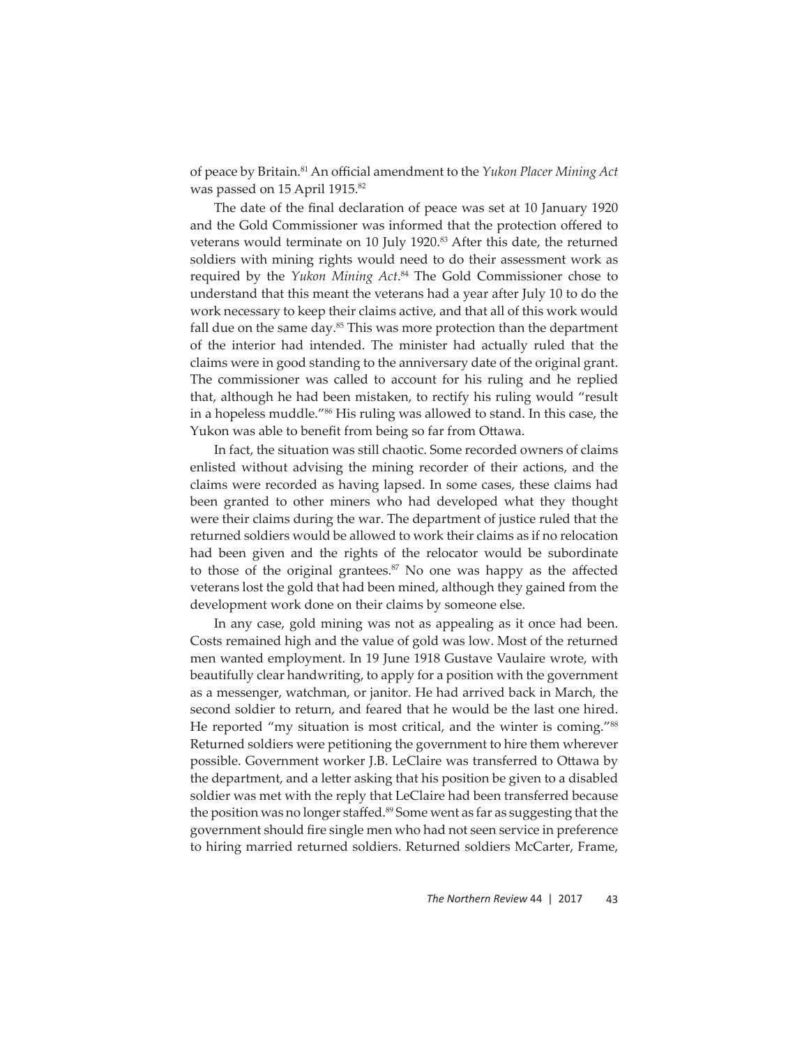of peace by Britain.<sup>81</sup> An official amendment to the *Yukon Placer Mining Act* was passed on 15 April 1915.<sup>82</sup>

The date of the final declaration of peace was set at 10 January 1920 and the Gold Commissioner was informed that the protection offered to veterans would terminate on 10 July 1920.<sup>83</sup> After this date, the returned soldiers with mining rights would need to do their assessment work as required by the *Yukon Mining Act*. 84 The Gold Commissioner chose to understand that this meant the veterans had a year after July 10 to do the work necessary to keep their claims active, and that all of this work would fall due on the same day. $85$  This was more protection than the department of the interior had intended. The minister had actually ruled that the claims were in good standing to the anniversary date of the original grant. The commissioner was called to account for his ruling and he replied that, although he had been mistaken, to rectify his ruling would "result in a hopeless muddle."86 His ruling was allowed to stand. In this case, the Yukon was able to benefit from being so far from Ottawa.

In fact, the situation was still chaotic. Some recorded owners of claims enlisted without advising the mining recorder of their actions, and the claims were recorded as having lapsed. In some cases, these claims had been granted to other miners who had developed what they thought were their claims during the war. The department of justice ruled that the returned soldiers would be allowed to work their claims as if no relocation had been given and the rights of the relocator would be subordinate to those of the original grantees.<sup>87</sup> No one was happy as the affected veterans lost the gold that had been mined, although they gained from the development work done on their claims by someone else.

In any case, gold mining was not as appealing as it once had been. Costs remained high and the value of gold was low. Most of the returned men wanted employment. In 19 June 1918 Gustave Vaulaire wrote, with beautifully clear handwriting, to apply for a position with the government as a messenger, watchman, or janitor. He had arrived back in March, the second soldier to return, and feared that he would be the last one hired. He reported "my situation is most critical, and the winter is coming."<sup>88</sup> Returned soldiers were petitioning the government to hire them wherever possible. Government worker J.B. LeClaire was transferred to Ottawa by the department, and a letter asking that his position be given to a disabled soldier was met with the reply that LeClaire had been transferred because the position was no longer staffed.<sup>89</sup> Some went as far as suggesting that the government should fire single men who had not seen service in preference to hiring married returned soldiers. Returned soldiers McCarter, Frame,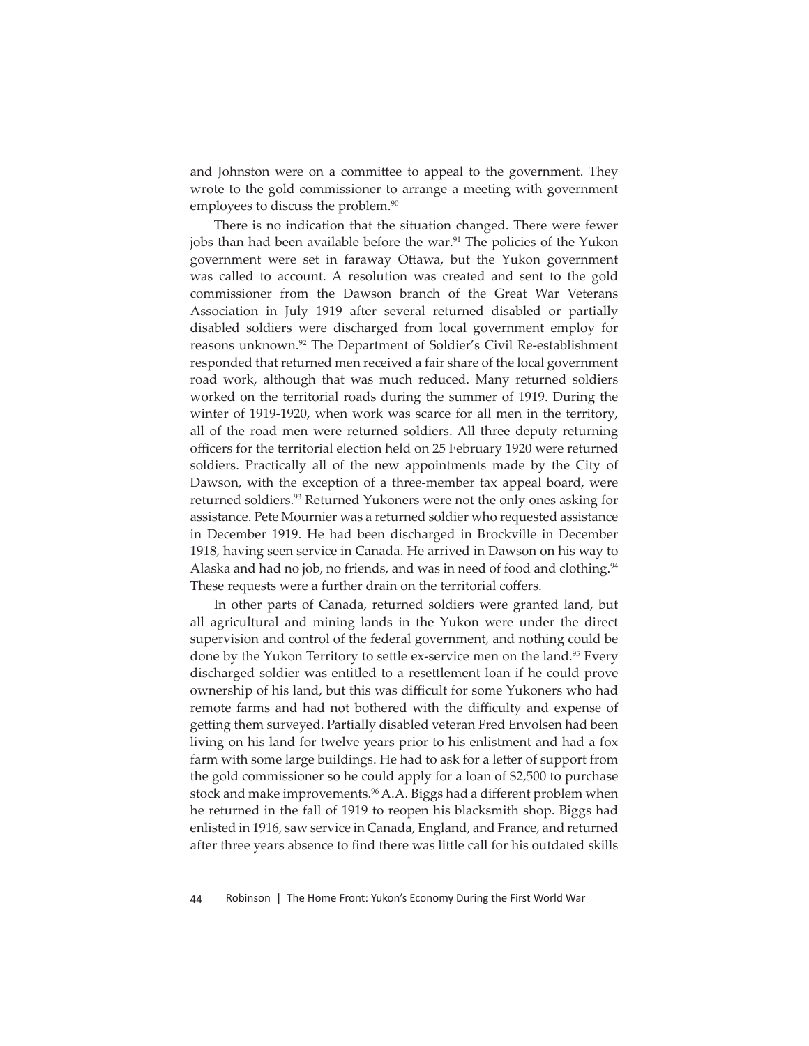and Johnston were on a committee to appeal to the government. They wrote to the gold commissioner to arrange a meeting with government employees to discuss the problem.<sup>90</sup>

There is no indication that the situation changed. There were fewer jobs than had been available before the war.<sup>91</sup> The policies of the Yukon government were set in faraway Ottawa, but the Yukon government was called to account. A resolution was created and sent to the gold commissioner from the Dawson branch of the Great War Veterans Association in July 1919 after several returned disabled or partially disabled soldiers were discharged from local government employ for reasons unknown.<sup>92</sup> The Department of Soldier's Civil Re-establishment responded that returned men received a fair share of the local government road work, although that was much reduced. Many returned soldiers worked on the territorial roads during the summer of 1919. During the winter of 1919-1920, when work was scarce for all men in the territory, all of the road men were returned soldiers. All three deputy returning officers for the territorial election held on 25 February 1920 were returned soldiers. Practically all of the new appointments made by the City of Dawson, with the exception of a three-member tax appeal board, were returned soldiers.<sup>93</sup> Returned Yukoners were not the only ones asking for assistance. Pete Mournier was a returned soldier who requested assistance in December 1919. He had been discharged in Brockville in December 1918, having seen service in Canada. He arrived in Dawson on his way to Alaska and had no job, no friends, and was in need of food and clothing.<sup>94</sup> These requests were a further drain on the territorial coffers.

In other parts of Canada, returned soldiers were granted land, but all agricultural and mining lands in the Yukon were under the direct supervision and control of the federal government, and nothing could be done by the Yukon Territory to settle ex-service men on the land.<sup>95</sup> Every discharged soldier was entitled to a resettlement loan if he could prove ownership of his land, but this was difficult for some Yukoners who had remote farms and had not bothered with the difficulty and expense of getting them surveyed. Partially disabled veteran Fred Envolsen had been living on his land for twelve years prior to his enlistment and had a fox farm with some large buildings. He had to ask for a letter of support from the gold commissioner so he could apply for a loan of \$2,500 to purchase stock and make improvements.<sup>96</sup> A.A. Biggs had a different problem when he returned in the fall of 1919 to reopen his blacksmith shop. Biggs had enlisted in 1916, saw service in Canada, England, and France, and returned after three years absence to find there was little call for his outdated skills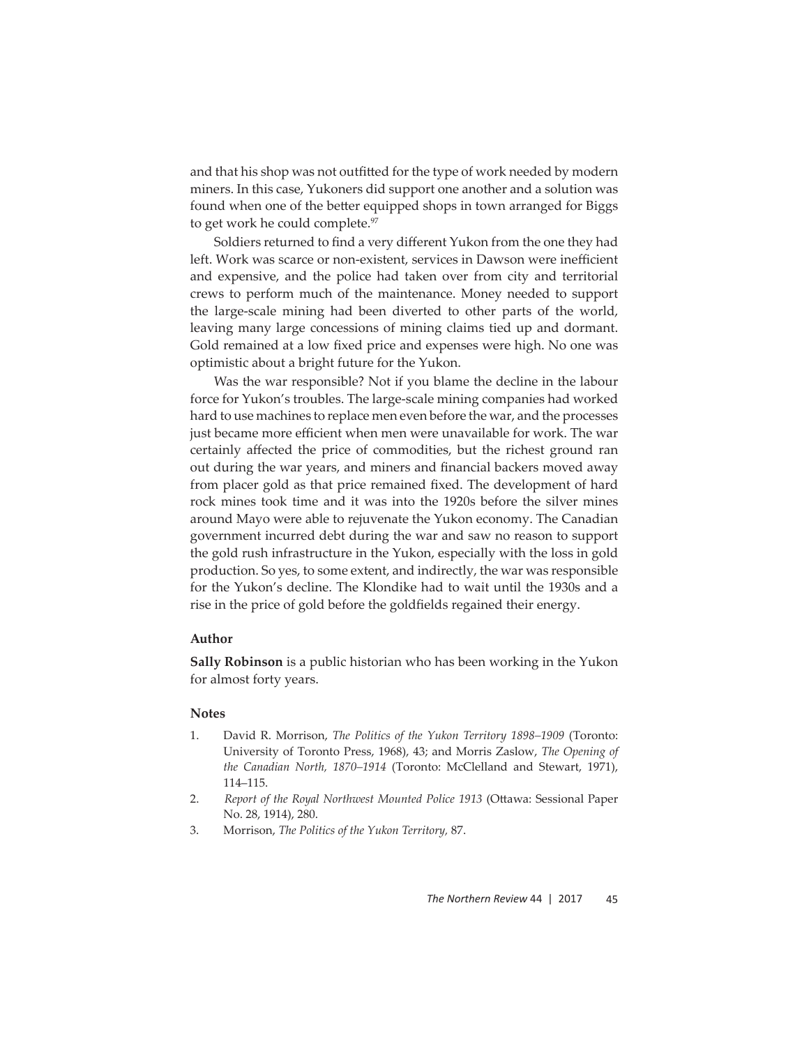and that his shop was not outfitted for the type of work needed by modern miners. In this case, Yukoners did support one another and a solution was found when one of the better equipped shops in town arranged for Biggs to get work he could complete.<sup>97</sup>

Soldiers returned to find a very different Yukon from the one they had left. Work was scarce or non-existent, services in Dawson were inefficient and expensive, and the police had taken over from city and territorial crews to perform much of the maintenance. Money needed to support the large-scale mining had been diverted to other parts of the world, leaving many large concessions of mining claims tied up and dormant. Gold remained at a low fixed price and expenses were high. No one was optimistic about a bright future for the Yukon.

Was the war responsible? Not if you blame the decline in the labour force for Yukon's troubles. The large-scale mining companies had worked hard to use machines to replace men even before the war, and the processes just became more efficient when men were unavailable for work. The war certainly affected the price of commodities, but the richest ground ran out during the war years, and miners and financial backers moved away from placer gold as that price remained fixed. The development of hard rock mines took time and it was into the 1920s before the silver mines around Mayo were able to rejuvenate the Yukon economy. The Canadian government incurred debt during the war and saw no reason to support the gold rush infrastructure in the Yukon, especially with the loss in gold production. So yes, to some extent, and indirectly, the war was responsible for the Yukon's decline. The Klondike had to wait until the 1930s and a rise in the price of gold before the goldfields regained their energy.

## **Author**

**Sally Robinson** is a public historian who has been working in the Yukon for almost forty years.

## **Notes**

- 1. David R. Morrison, *The Politics of the Yukon Territory 1898–1909* (Toronto: University of Toronto Press, 1968), 43; and Morris Zaslow, *The Opening of the Canadian North, 1870–1914* (Toronto: McClelland and Stewart, 1971), 114–115.
- 2. *Report of the Royal Northwest Mounted Police 1913 (Ottawa: Sessional Paper* No. 28, 1914), 280.
- 3. Morrison, *The Politics of the Yukon Territory,* 87.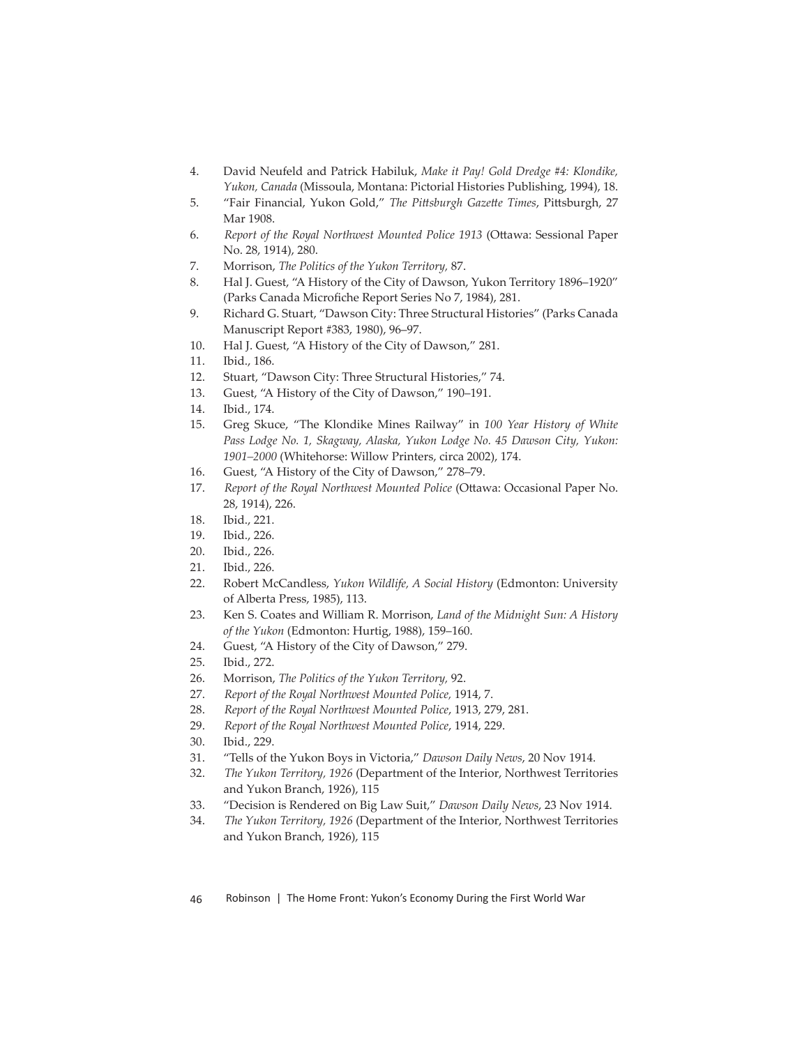- 4. David Neufeld and Patrick Habiluk, *Make it Pay! Gold Dredge #4: Klondike, Yukon, Canada* (Missoula, Montana: Pictorial Histories Publishing, 1994), 18.
- 5. "Fair Financial, Yukon Gold," The Pittsburgh Gazette Times, Pittsburgh, 27 Mar 1908.
- 6. Report of the Royal Northwest Mounted Police 1913 (Ottawa: Sessional Paper No. 28, 1914), 280.
- 7. Morrison, *The Politics of the Yukon Territory,* 87.
- 8. Hal J. Guest, "A History of the City of Dawson, Yukon Territory 1896–1920" (Parks Canada Microfiche Report Series No 7, 1984), 281.
- 9. Richard G. Stuart, "Dawson City: Three Structural Histories" (Parks Canada Manuscript Report #383, 1980), 96–97.
- 10. Hal J. Guest, "A History of the City of Dawson," 281.
- 11. Ibid., 186.
- 12. Stuart, "Dawson City: Three Structural Histories," 74.
- 13. Guest, "A History of the City of Dawson," 190–191.
- 14. Ibid., 174.
- 15. Greg Skuce, "The Klondike Mines Railway" in *100 Year History of White Pass Lodge No. 1, Skagway, Alaska, Yukon Lodge No. 45 Dawson City, Yukon: 1901–2000* (Whitehorse: Willow Printers, circa 2002), 174.
- 16. Guest, "A History of the City of Dawson," 278–79.
- 17. *Report of the Royal Northwest Mounted Police* (Ottawa: Occasional Paper No. 28, 1914), 226.
- 18. Ibid., 221.
- 19. Ibid., 226.
- 20. Ibid., 226.
- 21. Ibid., 226.
- 22. Robert McCandless, *Yukon Wildlife, A Social History* (Edmonton: University of Alberta Press, 1985), 113.
- 23. Ken S. Coates and William R. Morrison, *Land of the Midnight Sun: A History of the Yukon* (Edmonton: Hurtig, 1988), 159–160.
- 24. Guest, "A History of the City of Dawson," 279.
- 25. Ibid., 272.
- 26. Morrison, *The Politics of the Yukon Territory,* 92.
- 27. *Report of the Royal Northwest Mounted Police,* 1914, 7.
- 28. *Report of the Royal Northwest Mounted Police*, 1913, 279, 281.
- 29. *Report of the Royal Northwest Mounted Police*, 1914, 229.
- 30. Ibid., 229.
- 31. "Tells of the Yukon Boys in Victoria," *Dawson Daily News*, 20 Nov 1914.
- 32. *The Yukon Territory, 1926* (Department of the Interior, Northwest Territories and Yukon Branch, 1926), 115
- 33. "Decision is Rendered on Big Law Suit," *Dawson Daily News*, 23 Nov 1914.
- 34. *The Yukon Territory, 1926* (Department of the Interior, Northwest Territories and Yukon Branch, 1926), 115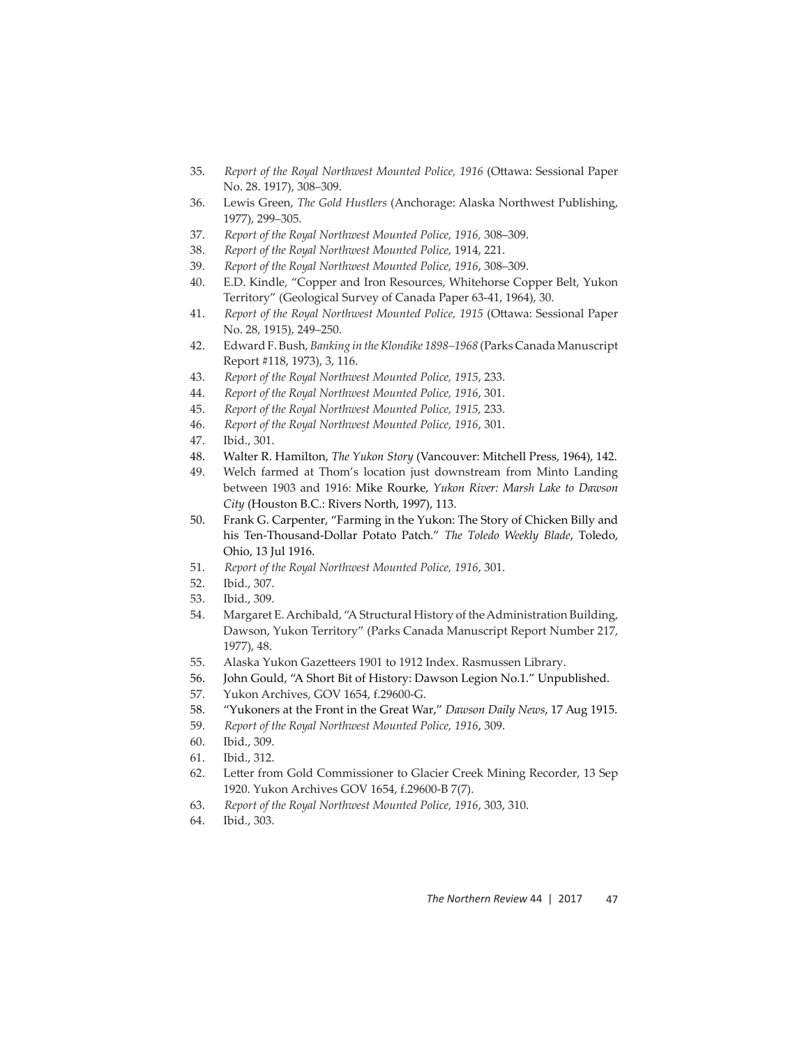- 35. Report of the Royal Northwest Mounted Police, 1916 (Ottawa: Sessional Paper No. 28. 1917), 308–309.
- 36. Lewis Green, *The Gold Hustlers* (Anchorage: Alaska Northwest Publishing, 1977), 299–305.
- 37. *Report of the Royal Northwest Mounted Police, 1916,* 308–309.
- 38. *Report of the Royal Northwest Mounted Police,* 1914, 221.
- 39. *Report of the Royal Northwest Mounted Police, 1916*, 308–309.
- 40. E.D. Kindle, "Copper and Iron Resources, Whitehorse Copper Belt, Yukon Territory" (Geological Survey of Canada Paper 63-41, 1964), 30.
- 41. Report of the Royal Northwest Mounted Police, 1915 (Ottawa: Sessional Paper No. 28, 1915), 249–250.
- 42. Edward F. Bush, *Banking in the Klondike 1898–1968* (Parks Canada Manuscript Report #118, 1973), 3, 116.
- 43. *Report of the Royal Northwest Mounted Police, 1915*, 233.
- 44. *Report of the Royal Northwest Mounted Police, 1916*, 301.
- 45. *Report of the Royal Northwest Mounted Police, 1915,* 233.
- 46. *Report of the Royal Northwest Mounted Police, 1916*, 301.
- 47. Ibid., 301.
- 48. Walter R. Hamilton, *The Yukon Story* (Vancouver: Mitchell Press, 1964), 142.
- 49. Welch farmed at Thom's location just downstream from Minto Landing between 1903 and 1916: Mike Rourke, *Yukon River: Marsh Lake to Dawson City* (Houston B.C.: Rivers North, 1997), 113.
- 50. Frank G. Carpenter, "Farming in the Yukon: The Story of Chicken Billy and his Ten-Thousand-Dollar Potato Patch." *The Toledo Weekly Blade*, Toledo, Ohio, 13 Jul 1916.
- 51. *Report of the Royal Northwest Mounted Police, 1916*, 301.
- 52. Ibid., 307.
- 53. Ibid., 309.
- 54. Margaret E. Archibald, "A Structural History of the Administration Building, Dawson, Yukon Territory" (Parks Canada Manuscript Report Number 217, 1977), 48.
- 55. Alaska Yukon Gazetteers 1901 to 1912 Index. Rasmussen Library.
- 56. John Gould, "A Short Bit of History: Dawson Legion No.1." Unpublished.
- 57. Yukon Archives, GOV 1654, f.29600-G.
- 58. "Yukoners at the Front in the Great War," *Dawson Daily News*, 17 Aug 1915.
- 59. *Report of the Royal Northwest Mounted Police, 1916*, 309.
- 60. Ibid., 309.
- 61. Ibid., 312.
- 62. Letter from Gold Commissioner to Glacier Creek Mining Recorder, 13 Sep 1920. Yukon Archives GOV 1654, f.29600-B 7(7).
- 63. *Report of the Royal Northwest Mounted Police, 1916*, 303, 310.
- 64. Ibid., 303.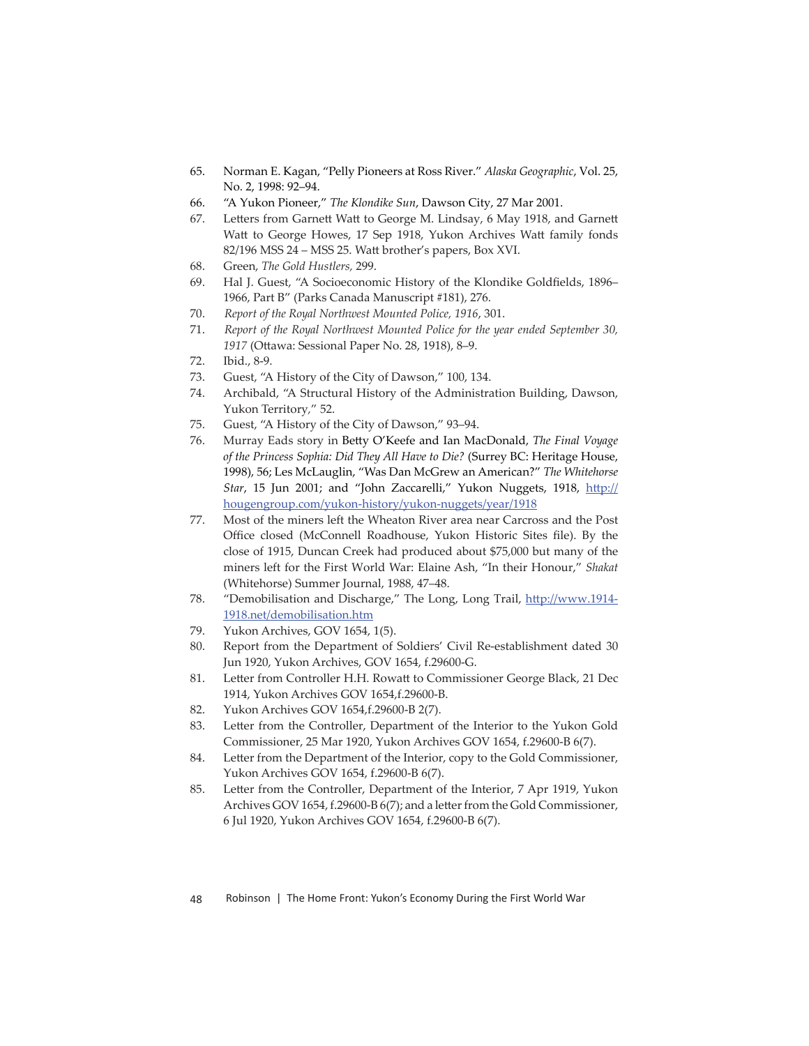- 65. Norman E. Kagan, "Pelly Pioneers at Ross River." *Alaska Geographic*, Vol. 25, No. 2, 1998: 92–94.
- 66. "A Yukon Pioneer," *The Klondike Sun*, Dawson City, 27 Mar 2001.
- 67. Letters from Garnett Watt to George M. Lindsay, 6 May 1918, and Garnett Watt to George Howes, 17 Sep 1918, Yukon Archives Watt family fonds 82/196 MSS 24 – MSS 25. Watt brother's papers, Box XVI.
- 68. Green, *The Gold Hustlers,* 299.
- 69. Hal J. Guest, "A Socioeconomic History of the Klondike Goldfields, 1896– 1966, Part B" (Parks Canada Manuscript #181), 276.
- 70. *Report of the Royal Northwest Mounted Police, 1916*, 301.
- 71. *Report of the Royal Northwest Mounted Police for the year ended September 30,*  1917 (Ottawa: Sessional Paper No. 28, 1918), 8–9.
- 72. Ibid., 8-9.
- 73. Guest, "A History of the City of Dawson," 100, 134.
- 74. Archibald, "A Structural History of the Administration Building, Dawson, Yukon Territory*,*" 52.
- 75. Guest, "A History of the City of Dawson," 93–94.
- 76. Murray Eads story in Betty O'Keefe and Ian MacDonald, *The Final Voyage of the Princess Sophia: Did They All Have to Die?* (Surrey BC: Heritage House, 1998), 56; Les McLauglin, "Was Dan McGrew an American?" *The Whitehorse*  Star, 15 Jun 2001; and "John Zaccarelli," Yukon Nuggets, 1918, http:// hougengroup.com/yukon-history/yukon-nuggets/year/1918
- 77. Most of the miners left the Wheaton River area near Carcross and the Post Office closed (McConnell Roadhouse, Yukon Historic Sites file). By the close of 1915, Duncan Creek had produced about \$75,000 but many of the miners left for the First World War: Elaine Ash, "In their Honour," *Shakat* (Whitehorse) Summer Journal, 1988, 47–48.
- 78. "Demobilisation and Discharge," The Long, Long Trail, http://www.1914-1918.net/demobilisation.htm
- 79. Yukon Archives, GOV 1654, 1(5).
- 80. Report from the Department of Soldiers' Civil Re-establishment dated 30 Jun 1920, Yukon Archives, GOV 1654, f.29600-G.
- 81. Letter from Controller H.H. Rowatt to Commissioner George Black, 21 Dec 1914, Yukon Archives GOV 1654,f.29600-B.
- 82. Yukon Archives GOV 1654,f.29600-B 2(7).
- 83. Letter from the Controller, Department of the Interior to the Yukon Gold Commissioner, 25 Mar 1920, Yukon Archives GOV 1654, f.29600-B 6(7).
- 84. Letter from the Department of the Interior, copy to the Gold Commissioner, Yukon Archives GOV 1654, f.29600-B 6(7).
- 85. Letter from the Controller, Department of the Interior, 7 Apr 1919, Yukon Archives GOV 1654, f.29600-B 6(7); and a letter from the Gold Commissioner, 6 Jul 1920, Yukon Archives GOV 1654, f.29600-B 6(7).